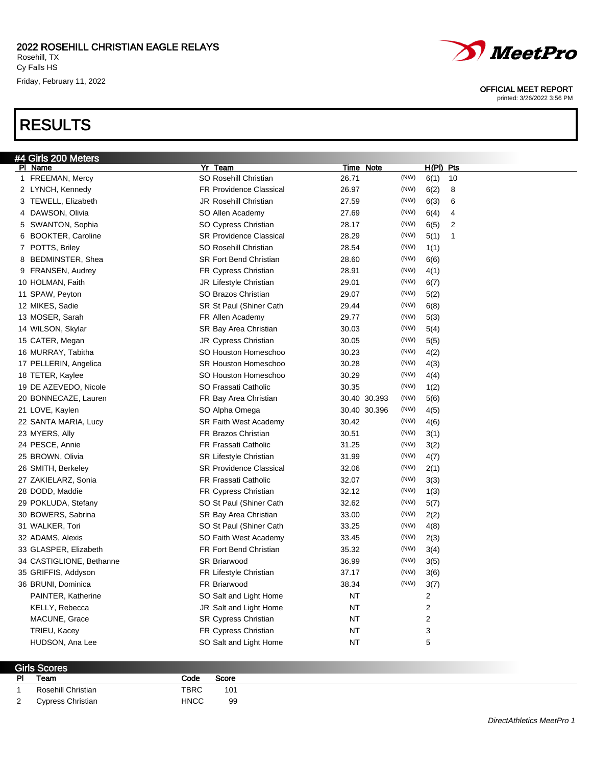Friday, February 11, 2022

## RESULTS



#### OFFICIAL MEET REPORT

printed: 3/26/2022 3:56 PM

| #4 Girls 200 Meters      |                                |              |      |                         |
|--------------------------|--------------------------------|--------------|------|-------------------------|
| PI Name                  | Yr Team                        | Time Note    |      | $H(PI)$ Pts             |
| 1 FREEMAN, Mercy         | SO Rosehill Christian          | 26.71        | (NW) | 6(1)<br>10              |
| 2 LYNCH, Kennedy         | <b>FR Providence Classical</b> | 26.97        | (NW) | 6(2)<br>8               |
| 3 TEWELL, Elizabeth      | <b>JR Rosehill Christian</b>   | 27.59        | (NW) | 6(3)<br>6               |
| 4 DAWSON, Olivia         | SO Allen Academy               | 27.69        | (NW) | 6(4)<br>4               |
| 5 SWANTON, Sophia        | SO Cypress Christian           | 28.17        | (NW) | 6(5)<br>2               |
| 6 BOOKTER, Caroline      | <b>SR Providence Classical</b> | 28.29        | (NW) | 5(1)<br>1               |
| 7 POTTS, Briley          | SO Rosehill Christian          | 28.54        | (NW) | 1(1)                    |
| BEDMINSTER, Shea<br>8    | <b>SR Fort Bend Christian</b>  | 28.60        | (NW) | 6(6)                    |
| 9 FRANSEN, Audrey        | FR Cypress Christian           | 28.91        | (NW) | 4(1)                    |
| 10 HOLMAN, Faith         | JR Lifestyle Christian         | 29.01        | (NW) | 6(7)                    |
| 11 SPAW, Peyton          | SO Brazos Christian            | 29.07        | (NW) | 5(2)                    |
| 12 MIKES, Sadie          | SR St Paul (Shiner Cath        | 29.44        | (NW) | 6(8)                    |
| 13 MOSER, Sarah          | FR Allen Academy               | 29.77        | (NW) | 5(3)                    |
| 14 WILSON, Skylar        | SR Bay Area Christian          | 30.03        | (NW) | 5(4)                    |
| 15 CATER, Megan          | <b>JR Cypress Christian</b>    | 30.05        | (NW) | 5(5)                    |
| 16 MURRAY, Tabitha       | SO Houston Homeschoo           | 30.23        | (NW) | 4(2)                    |
| 17 PELLERIN, Angelica    | <b>SR Houston Homeschoo</b>    | 30.28        | (NW) | 4(3)                    |
| 18 TETER, Kaylee         | SO Houston Homeschoo           | 30.29        | (NW) | 4(4)                    |
| 19 DE AZEVEDO, Nicole    | SO Frassati Catholic           | 30.35        | (NW) | 1(2)                    |
| 20 BONNECAZE, Lauren     | FR Bay Area Christian          | 30.40 30.393 | (NW) | 5(6)                    |
| 21 LOVE, Kaylen          | SO Alpha Omega                 | 30.40 30.396 | (NW) | 4(5)                    |
| 22 SANTA MARIA, Lucy     | <b>SR Faith West Academy</b>   | 30.42        | (NW) | 4(6)                    |
| 23 MYERS, Ally           | FR Brazos Christian            | 30.51        | (NW) | 3(1)                    |
| 24 PESCE, Annie          | <b>FR Frassati Catholic</b>    | 31.25        | (NW) | 3(2)                    |
| 25 BROWN, Olivia         | <b>SR Lifestyle Christian</b>  | 31.99        | (NW) | 4(7)                    |
| 26 SMITH, Berkeley       | <b>SR Providence Classical</b> | 32.06        | (NW) | 2(1)                    |
| 27 ZAKIELARZ, Sonia      | <b>FR Frassati Catholic</b>    | 32.07        | (NW) | 3(3)                    |
| 28 DODD, Maddie          | FR Cypress Christian           | 32.12        | (NW) | 1(3)                    |
| 29 POKLUDA, Stefany      | SO St Paul (Shiner Cath        | 32.62        | (NW) | 5(7)                    |
| 30 BOWERS, Sabrina       | SR Bay Area Christian          | 33.00        | (NW) | 2(2)                    |
| 31 WALKER, Tori          | SO St Paul (Shiner Cath        | 33.25        | (NW) | 4(8)                    |
| 32 ADAMS, Alexis         | SO Faith West Academy          | 33.45        | (NW) | 2(3)                    |
| 33 GLASPER, Elizabeth    | FR Fort Bend Christian         | 35.32        | (NW) | 3(4)                    |
| 34 CASTIGLIONE, Bethanne | <b>SR Briarwood</b>            | 36.99        | (NW) | 3(5)                    |
| 35 GRIFFIS, Addyson      | FR Lifestyle Christian         | 37.17        | (NW) | 3(6)                    |
| 36 BRUNI, Dominica       | FR Briarwood                   | 38.34        | (NW) | 3(7)                    |
| PAINTER, Katherine       | SO Salt and Light Home         | <b>NT</b>    |      | 2                       |
| KELLY, Rebecca           | JR Salt and Light Home         | <b>NT</b>    |      | $\overline{\mathbf{c}}$ |
| MACUNE, Grace            | <b>SR Cypress Christian</b>    | <b>NT</b>    |      | 2                       |
| TRIEU, Kacey             | <b>FR Cypress Christian</b>    | ΝT           |      | 3                       |
| HUDSON, Ana Lee          | SO Salt and Light Home         | ΝT           |      | 5                       |
|                          |                                |              |      |                         |

| Girls Scores   |                    |             |                 |  |  |  |
|----------------|--------------------|-------------|-----------------|--|--|--|
| <b>PI</b>      | Team               | Code        | Score           |  |  |  |
|                | Rosehill Christian | <b>TBRC</b> | 10 <sup>1</sup> |  |  |  |
| $\overline{2}$ | Cypress Christian  | <b>HNCC</b> | 99              |  |  |  |